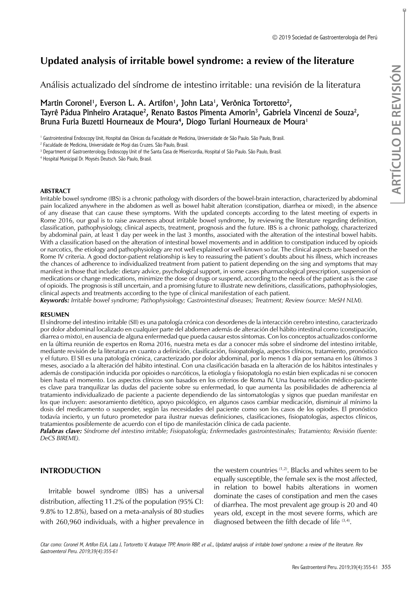# **Updated analysis of irritable bowel syndrome: a review of the literature**

Análisis actualizado del síndrome de intestino irritable: una revisión de la literatura

Martin Coronel<sup>1</sup>, Everson L. A. Artifon<sup>1</sup>, John Lata<sup>1</sup>, Verônica Tortoretto<sup>2</sup>, Tayrê Pádua Pinheiro Arataque<sup>2</sup>, Renato Bastos Pimenta Amorin<sup>3</sup>, Gabriela Vincenzi de Souza<sup>2</sup>, Bruna Furia Buzetti Hourneaux de Moura<sup>4</sup>, Diogo Turiani Hourneaux de Moura<sup>1</sup>

1 Gastrointestinal Endoscopy Unit, Hospital das Clínicas da Faculdade de Medicina, Universidade de São Paulo. São Paulo, Brasil.

<sup>2</sup> Faculdade de Medicina, Universidade de Mogi das Cruzes. São Paulo, Brasil.

4 Hospital Municipal Dr. Moysés Deutsch. São Paulo, Brasil.

#### **ABSTRACT**

Irritable bowel syndrome (IBS) is a chronic pathology with disorders of the bowel-brain interaction, characterized by abdominal pain localized anywhere in the abdomen as well as bowel habit alteration (constipation, diarrhea or mixed), in the absence of any disease that can cause these symptoms. With the updated concepts according to the latest meeting of experts in Rome 2016, our goal is to raise awareness about irritable bowel syndrome, by reviewing the literature regarding definition, classification, pathophysiology, clinical aspects, treatment, prognosis and the future. IBS is a chronic pathology, characterized by abdominal pain, at least 1 day per week in the last 3 months, associated with the alteration of the intestinal bowel habits. With a classification based on the alteration of intestinal bowel movements and in addition to constipation induced by opioids or narcotics, the etiology and pathophysiology are not well explained or well-known so far. The clinical aspects are based on the Rome IV criteria. A good doctor-patient relationship is key to reassuring the patient's doubts about his illness, which increases the chances of adherence to individualized treatment from patient to patient depending on the sing and symptoms that may manifest in those that include: dietary advice, psychological support, in some cases pharmacological prescription, suspension of medications or change medications, minimize the dose of drugs or suspend, according to the needs of the patient as is the case of opioids. The prognosis is still uncertain, and a promising future to illustrate new definitions, classifications, pathophysiologies, clinical aspects and treatments according to the type of clinical manifestation of each patient.

*Keywords: Irritable bowel syndrome; Pathophysiology; Gastrointestinal diseases; Treatment; Review (source: MeSH NLM).*

#### **RESUMEN**

El síndrome del intestino irritable (SII) es una patología crónica con desordenes de la interacción cerebro intestino, caracterizado por dolor abdominal localizado en cualquier parte del abdomen además de alteración del hábito intestinal como (constipación, diarrea o mixto), en ausencia de alguna enfermedad que pueda causar estos síntomas. Con los conceptos actualizados conforme en la última reunión de expertos en Roma 2016, nuestra meta es dar a conocer más sobre el síndrome del intestino irritable, mediante revisión de la literatura en cuanto a definición, clasificación, fisiopatología, aspectos clínicos, tratamiento, pronóstico y el futuro. El SII es una patología crónica, caracterizado por dolor abdominal, por lo menos 1 día por semana en los últimos 3 meses, asociado a la alteración del hábito intestinal. Con una clasificación basada en la alteración de los hábitos intestinales y además de constipación inducida por opioides o narcóticos, la etiología y fisiopatología no están bien explicadas ni se conocen bien hasta el momento. Los aspectos clínicos son basados en los criterios de Roma IV. Una buena relación médico-paciente es clave para tranquilizar las dudas del paciente sobre su enfermedad, lo que aumenta las posibilidades de adherencia al tratamiento individualizado de paciente a paciente dependiendo de las sintomatologías y signos que puedan manifestar en los que incluyen: asesoramiento dietético, apoyo psicológico, en algunos casos cambiar medicación, disminuir al mínimo la dosis del medicamento o suspender, según las necesidades del paciente como son los casos de los opiodes. El pronóstico todavía incierto, y un futuro prometedor para ilustrar nuevas definiciones, clasificaciones, fisiopatologías, aspectos clínicos, tratamientos posiblemente de acuerdo con el tipo de manifestación clínica de cada paciente.

*Palabras clave: Síndrome del intestino irritable; Fisiopatología; Enfermedades gastrointestinales; Tratamiento; Revisión (fuente: DeCS BIREME).*

## **INTRODUCTION**

Irritable bowel syndrome (IBS) has a universal distribution, affecting 11.2% of the population (95% CI: 9.8% to 12.8%), based on a meta-analysis of 80 studies with 260,960 individuals, with a higher prevalence in

the western countries (1,2). Blacks and whites seem to be equally susceptible, the female sex is the most affected, in relation to bowel habits alterations in women dominate the cases of constipation and men the cases of diarrhea. The most prevalent age group is 20 and 40 years old, except in the most severe forms, which are diagnosed between the fifth decade of life  $(3,4)$ .

Citar como: Coronel M, Artifon ELA, Lata J, Tortoretto V, Arataque TPP, Amorin RBP*, et al.,* Updated analysis of irritable bowel syndrome: a review of the literature. Rev Gastroenterol Peru. 2019;39(4):355-61

<sup>&</sup>lt;sup>3</sup> Department of Gastroenterology, Endoscopy Unit of the Santa Casa de Misericordia, Hospital of São Paulo. São Paulo, Brasil.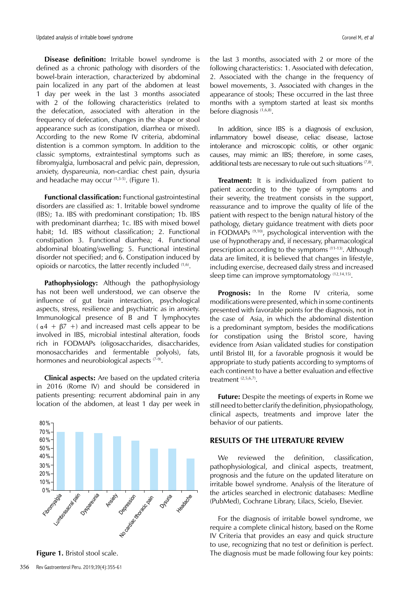Updated analysis of irritable bowel syndrome Coronel M, et al. Analysis of irritable bowel syndrome Coronel M, et al.

**Disease definition:** Irritable bowel syndrome is defined as a chronic pathology with disorders of the bowel-brain interaction, characterized by abdominal pain localized in any part of the abdomen at least 1 day per week in the last 3 months associated with 2 of the following characteristics (related to the defecation, associated with alteration in the frequency of defecation, changes in the shape or stool appearance such as (constipation, diarrhea or mixed). According to the new Rome IV criteria, abdominal distention is a common symptom. In addition to the classic symptoms, extraintestinal symptoms such as fibromyalgia, lumbosacral and pelvic pain, depression, anxiety, dyspareunia, non-cardiac chest pain, dysuria and headache may occur  $(1,3-5)$ . (Figure 1).

**Functional classification:** Functional gastrointestinal disorders are classified as: 1. Irritable bowel syndrome (IBS); 1a. IBS with predominant constipation; 1b. IBS with predominant diarrhea; 1c. IBS with mixed bowel habit; 1d. IBS without classification; 2. Functional constipation 3. Functional diarrhea; 4. Functional abdominal bloating/swelling; 5. Functional intestinal disorder not specified; and 6. Constipation induced by opioids or narcotics, the latter recently included (1,6).

**Pathophysiology:** Although the pathophysiology has not been well understood, we can observe the influence of gut brain interaction, psychological aspects, stress, resilience and psychiatric as in anxiety. Immunological presence of B and T lymphocytes  $(a4 + \beta7 +)$  and increased mast cells appear to be involved in IBS, microbial intestinal alteration, foods rich in FODMAPs (oligosaccharides, disaccharides, monosaccharides and fermentable polyols), fats, hormones and neurobiological aspects (7-9).

**Clinical aspects:** Are based on the updated criteria in 2016 (Rome IV) and should be considered in patients presenting: recurrent abdominal pain in any location of the abdomen, at least 1 day per week in



the last 3 months, associated with 2 or more of the following characteristics: 1. Associated with defecation, 2. Associated with the change in the frequency of bowel movements, 3. Associated with changes in the appearance of stools; These occurred in the last three months with a symptom started at least six months before diagnosis (1,6,8).

In addition, since IBS is a diagnosis of exclusion, inflammatory bowel disease, celiac disease, lactose intolerance and microscopic colitis, or other organic causes, may mimic an IBS; therefore, in some cases, additional tests are necessary to rule out such situations  $(7,8)$ .

**Treatment:** It is individualized from patient to patient according to the type of symptoms and their severity, the treatment consists in the support, reassurance and to improve the quality of life of the patient with respect to the benign natural history of the pathology, dietary guidance treatment with diets poor in FODMAPs  $(9,10)$ , psychological intervention with the use of hypnotherapy and, if necessary, pharmacological prescription according to the symptoms (11-13). Although data are limited, it is believed that changes in lifestyle, including exercise, decreased daily stress and increased sleep time can improve symptomatology  $(12,14,15)$ .

**Prognosis:** In the Rome IV criteria, some modifications were presented, which in some continents presented with favorable points for the diagnosis, not in the case of Asia, in which the abdominal distention is a predominant symptom, besides the modifications for constipation using the Bristol score, having evidence from Asian validated studies for constipation until Bristol III, for a favorable prognosis it would be appropriate to study patients according to symptoms of each continent to have a better evaluation and effective treatment<sup>(2,5,6,7)</sup>.

**Future:** Despite the meetings of experts in Rome we still need to better clarify the definition, physiopathology, clinical aspects, treatments and improve later the behavior of our patients.

## **RESULTS OF THE LITERATURE REVIEW**

We reviewed the definition, classification, pathophysiological, and clinical aspects, treatment, prognosis and the future on the updated literature on irritable bowel syndrome. Analysis of the literature of the articles searched in electronic databases: Medline (PubMed), Cochrane Library, Lilacs, Scielo, Elsevier.

For the diagnosis of irritable bowel syndrome, we require a complete clinical history, based on the Rome IV Criteria that provides an easy and quick structure to use, recognizing that no test or definition is perfect. **Figure 1.** Bristol stool scale. The diagnosis must be made following four key points: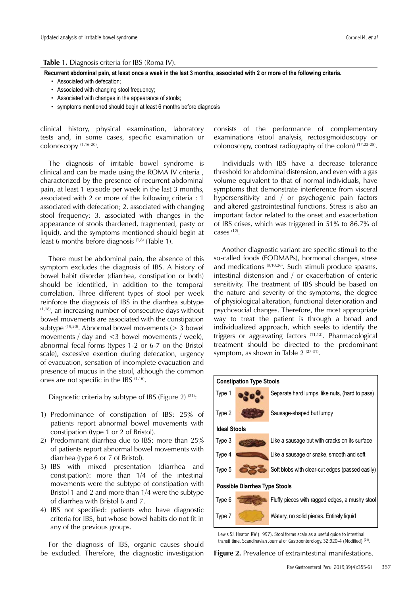**Table 1.** Diagnosis criteria for IBS (Roma IV).

**Recurrent abdominal pain, at least once a week in the last 3 months, associated with 2 or more of the following criteria.**

- Associated with defecation;
- Associated with changing stool frequency;
- Associated with changes in the appearance of stools;
- symptoms mentioned should begin at least 6 months before diagnosis

clinical history, physical examination, laboratory tests and, in some cases, specific examination or colonoscopy (1,16-20).

The diagnosis of irritable bowel syndrome is clinical and can be made using the ROMA IV criteria , characterized by the presence of recurrent abdominal pain, at least 1 episode per week in the last 3 months, associated with 2 or more of the following criteria : 1 associated with defecation; 2. associated with changing stool frequency; 3. associated with changes in the appearance of stools (hardened, fragmented, pasty or liquid), and the symptoms mentioned should begin at least 6 months before diagnosis<sup>(1,8)</sup> (Table 1).

There must be abdominal pain, the absence of this symptom excludes the diagnosis of IBS. A history of bowel habit disorder (diarrhea, constipation or both) should be identified, in addition to the temporal correlation. Three different types of stool per week reinforce the diagnosis of IBS in the diarrhea subtype  $(1,18)$ , an increasing number of consecutive days without bowel movements are associated with the constipation subtype  $(19,20)$ . Abnormal bowel movements ( $> 3$  bowel movements / day and <3 bowel movements / week), abnormal fecal forms (types 1-2 or 6-7 on the Bristol scale), excessive exertion during defecation, urgency of evacuation, sensation of incomplete evacuation and presence of mucus in the stool, although the common ones are not specific in the IBS (1,16).

Diagnostic criteria by subtype of IBS (Figure 2) (21):

- 1) Predominance of constipation of IBS: 25% of patients report abnormal bowel movements with constipation (type 1 or 2 of Bristol).
- 2) Predominant diarrhea due to IBS: more than 25% of patients report abnormal bowel movements with diarrhea (type 6 or 7 of Bristol).
- 3) IBS with mixed presentation (diarrhea and constipation): more than 1/4 of the intestinal movements were the subtype of constipation with Bristol 1 and 2 and more than 1/4 were the subtype of diarrhea with Bristol 6 and 7.
- 4) IBS not specified: patients who have diagnostic criteria for IBS, but whose bowel habits do not fit in any of the previous groups.

For the diagnosis of IBS, organic causes should be excluded. Therefore, the diagnostic investigation

consists of the performance of complementary examinations (stool analysis, rectosigmoidoscopy or colonoscopy, contrast radiography of the colon) (17,22-25).

Individuals with IBS have a decrease tolerance threshold for abdominal distension, and even with a gas volume equivalent to that of normal individuals, have symptoms that demonstrate interference from visceral hypersensitivity and / or psychogenic pain factors and altered gastrointestinal functions. Stress is also an important factor related to the onset and exacerbation of IBS crises, which was triggered in 51% to 86.7% of cases (12).

Another diagnostic variant are specific stimuli to the so-called foods (FODMAPs), hormonal changes, stress and medications (9,10,26). Such stimuli produce spasms, intestinal distension and / or exacerbation of enteric sensitivity. The treatment of IBS should be based on the nature and severity of the symptoms, the degree of physiological alteration, functional deterioration and psychosocial changes. Therefore, the most appropriate way to treat the patient is through a broad and individualized approach, which seeks to identify the triggers or aggravating factors (11,12). Pharmacological treatment should be directed to the predominant symptom, as shown in Table  $2^{(27-31)}$ .



Lewis SJ, Heaton KW (1997). Stool forms scale as a useful guide to intestinal transit time. Scandinavian Journal of Gastroenterology. 32:920-4 (Modified) <sup>(21)</sup>.

**Figure 2.** Prevalence of extraintestinal manifestations.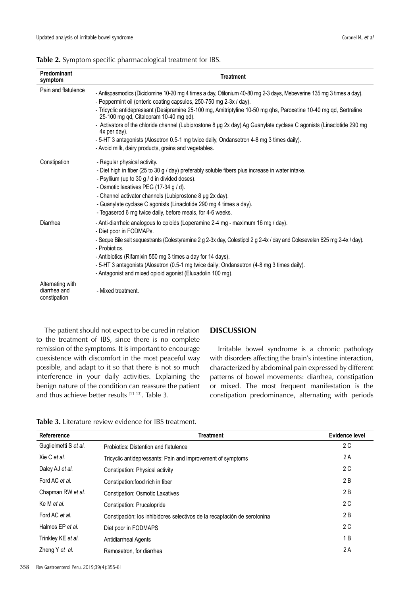|  |  | Table 2. Symptom specific pharmacological treatment for IBS. |  |
|--|--|--------------------------------------------------------------|--|
|--|--|--------------------------------------------------------------|--|

| Predominant<br>symptom                           | <b>Treatment</b>                                                                                                                                                                                                                                                                                                                                                                                                                                                                                                                                                                                                                                        |
|--------------------------------------------------|---------------------------------------------------------------------------------------------------------------------------------------------------------------------------------------------------------------------------------------------------------------------------------------------------------------------------------------------------------------------------------------------------------------------------------------------------------------------------------------------------------------------------------------------------------------------------------------------------------------------------------------------------------|
| Pain and flatulence                              | - Antispasmodics (Diciclomine 10-20 mg 4 times a day, Otilonium 40-80 mg 2-3 days, Mebeverine 135 mg 3 times a day).<br>- Peppermint oil (enteric coating capsules, 250-750 mg 2-3x / day).<br>- Tricyclic antidepressant (Desipramine 25-100 mg, Amitriptyline 10-50 mg qhs, Paroxetine 10-40 mg qd, Sertraline<br>25-100 mg qd, Citalopram 10-40 mg qd).<br>- Activators of the chloride channel (Lubiprostone 8 µg 2x day) Ag Guanylate cyclase C agonists (Linaclotide 290 mg<br>$4x$ per day).<br>- 5-HT 3 antagonists (Alosetron 0.5-1 mg twice daily, Ondansetron 4-8 mg 3 times daily).<br>- Avoid milk, dairy products, grains and vegetables. |
| Constipation                                     | - Regular physical activity.<br>- Diet high in fiber (25 to 30 g / day) preferably soluble fibers plus increase in water intake.<br>- Psyllium (up to 30 g / d in divided doses).<br>- Osmotic laxatives PEG (17-34 g / d).<br>- Channel activator channels (Lubiprostone 8 µg 2x day).<br>- Guanylate cyclase C agonists (Linaclotide 290 mg 4 times a day).<br>- Tegaserod 6 mg twice daily, before meals, for 4-6 weeks.                                                                                                                                                                                                                             |
| Diarrhea                                         | - Anti-diarrheic analogous to opioids (Loperamine 2-4 mg - maximum 16 mg / day).<br>- Diet poor in FODMAPs.<br>- Seque Bile salt sequestrants (Colestyramine 2 g 2-3x day, Colestipol 2 g 2-4x / day and Colesevelan 625 mg 2-4x / day).<br>- Probiotics.<br>- Antibiotics (Rifamixin 550 mg 3 times a day for 14 days).<br>- 5-HT 3 antagonists (Alosetron (0.5-1 mg twice daily; Ondansetron (4-8 mg 3 times daily).<br>- Antagonist and mixed opioid agonist (Eluxadolin 100 mg).                                                                                                                                                                    |
| Alternating with<br>diarrhea and<br>constipation | - Mixed treatment.                                                                                                                                                                                                                                                                                                                                                                                                                                                                                                                                                                                                                                      |

The patient should not expect to be cured in relation to the treatment of IBS, since there is no complete remission of the symptoms. It is important to encourage coexistence with discomfort in the most peaceful way possible, and adapt to it so that there is not so much interference in your daily activities. Explaining the benign nature of the condition can reassure the patient and thus achieve better results (11-13). Table 3.

## **DISCUSSION**

Irritable bowel syndrome is a chronic pathology with disorders affecting the brain's intestine interaction, characterized by abdominal pain expressed by different patterns of bowel movements: diarrhea, constipation or mixed. The most frequent manifestation is the constipation predominance, alternating with periods

**Table 3.** Literature review evidence for IBS treatment.

| Refererence           | <b>Treatment</b>                                                         | Evidence level |
|-----------------------|--------------------------------------------------------------------------|----------------|
| Guglielmetti S et al. | Probiotics: Distention and flatulence                                    | 2 C            |
| Xie C et al.          | Tricyclic antidepressants: Pain and improvement of symptoms              | 2 A            |
| Daley AJ et al.       | Constipation: Physical activity                                          | 2 C            |
| Ford AC et al.        | Constipation: food rich in fiber                                         | 2 B            |
| Chapman RW et al.     | <b>Constipation: Osmotic Laxatives</b>                                   | 2 B            |
| Ke M et al.           | Constipation: Prucalopride                                               | 2 C            |
| Ford AC et al.        | Constipación: los inhibidores selectivos de la recaptación de serotonina | 2 B            |
| Halmos EP et al.      | Diet poor in FODMAPS                                                     | 2 C            |
| Trinkley KE et al.    | Antidiarrheal Agents                                                     | 1 B            |
| Zheng Y et al.        | Ramosetron, for diarrhea                                                 | 2 A            |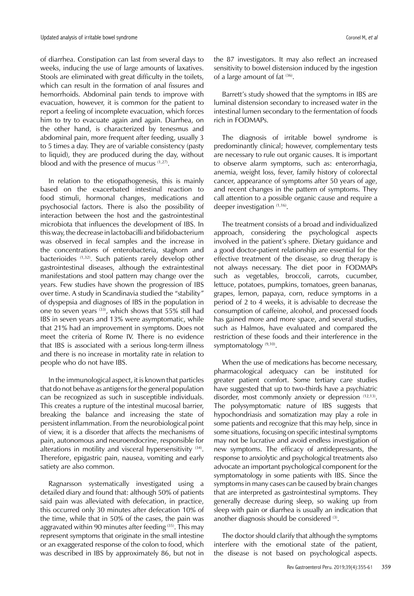of diarrhea. Constipation can last from several days to weeks, inducing the use of large amounts of laxatives. Stools are eliminated with great difficulty in the toilets, which can result in the formation of anal fissures and hemorrhoids. Abdominal pain tends to improve with evacuation, however, it is common for the patient to report a feeling of incomplete evacuation, which forces him to try to evacuate again and again. Diarrhea, on the other hand, is characterized by tenesmus and abdominal pain, more frequent after feeding, usually 3 to 5 times a day. They are of variable consistency (pasty to liquid), they are produced during the day, without blood and with the presence of mucus (1,27).

In relation to the etiopathogenesis, this is mainly based on the exacerbated intestinal reaction to food stimuli, hormonal changes, medications and psychosocial factors. There is also the possibility of interaction between the host and the gastrointestinal microbiota that influences the development of IBS. In this way, the decrease in lactobacilli and bifidobacterium was observed in fecal samples and the increase in the concentrations of enterobacteria, staghorn and bacterioides (1,32). Such patients rarely develop other gastrointestinal diseases, although the extraintestinal manifestations and stool pattern may change over the years. Few studies have shown the progression of IBS over time. A study in Scandinavia studied the "stability" of dyspepsia and diagnoses of IBS in the population in one to seven years <sup>(33)</sup>, which shows that 55% still had IBS in seven years and 13% were asymptomatic, while that 21% had an improvement in symptoms. Does not meet the criteria of Rome IV. There is no evidence that IBS is associated with a serious long-term illness and there is no increase in mortality rate in relation to people who do not have IBS.

In the immunological aspect, it is known that particles that do not behave as antigens for the general population can be recognized as such in susceptible individuals. This creates a rupture of the intestinal mucosal barrier, breaking the balance and increasing the state of persistent inflammation. From the neurobiological point of view, it is a disorder that affects the mechanisms of pain, autonomous and neuroendocrine, responsible for alterations in motility and visceral hypersensitivity <sup>(34)</sup>. Therefore, epigastric pain, nausea, vomiting and early satiety are also common.

Ragnarsson systematically investigated using a detailed diary and found that: although 50% of patients said pain was alleviated with defecation, in practice, this occurred only 30 minutes after defecation 10% of the time, while that in 50% of the cases, the pain was aggravated within 90 minutes after feeding (35). This may represent symptoms that originate in the small intestine or an exaggerated response of the colon to food, which was described in IBS by approximately 86, but not in

the 87 investigators. It may also reflect an increased sensitivity to bowel distension induced by the ingestion of a large amount of fat <sup>(36)</sup>.

Barrett's study showed that the symptoms in IBS are luminal distension secondary to increased water in the intestinal lumen secondary to the fermentation of foods rich in FODMAPs.

The diagnosis of irritable bowel syndrome is predominantly clinical; however, complementary tests are necessary to rule out organic causes. It is important to observe alarm symptoms, such as: enterorrhagia, anemia, weight loss, fever, family history of colorectal cancer, appearance of symptoms after 50 years of age, and recent changes in the pattern of symptoms. They call attention to a possible organic cause and require a deeper investigation (1,16).

The treatment consists of a broad and individualized approach, considering the psychological aspects involved in the patient's sphere. Dietary guidance and a good doctor-patient relationship are essential for the effective treatment of the disease, so drug therapy is not always necessary. The diet poor in FODMAPs such as vegetables, broccoli, carrots, cucumber, lettuce, potatoes, pumpkins, tomatoes, green bananas, grapes, lemon, papaya, corn, reduce symptoms in a period of 2 to 4 weeks, it is advisable to decrease the consumption of caffeine, alcohol, and processed foods has gained more and more space, and several studies, such as Halmos, have evaluated and compared the restriction of these foods and their interference in the symptomatology<sup>(9,10)</sup>.

When the use of medications has become necessary, pharmacological adequacy can be instituted for greater patient comfort. Some tertiary care studies have suggested that up to two-thirds have a psychiatric disorder, most commonly anxiety or depression (12,13). The polysymptomatic nature of IBS suggests that hypochondriasis and somatization may play a role in some patients and recognize that this may help, since in some situations, focusing on specific intestinal symptoms may not be lucrative and avoid endless investigation of new symptoms. The efficacy of antidepressants, the response to anxiolytic and psychological treatments also advocate an important psychological component for the symptomatology in some patients with IBS. Since the symptoms in many cases can be caused by brain changes that are interpreted as gastrointestinal symptoms. They generally decrease during sleep, so waking up from sleep with pain or diarrhea is usually an indication that another diagnosis should be considered (3).

The doctor should clarify that although the symptoms interfere with the emotional state of the patient, the disease is not based on psychological aspects.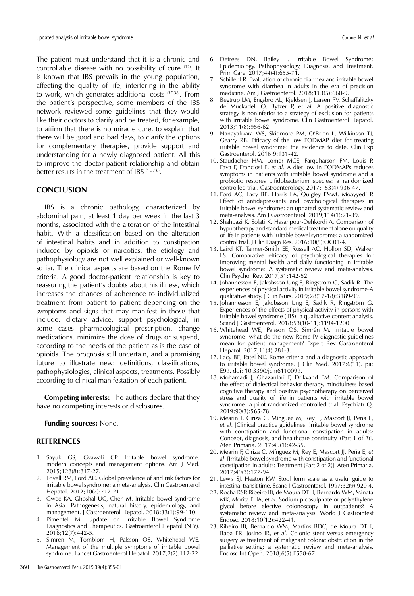The patient must understand that it is a chronic and controllable disease with no possibility of cure (12). It is known that IBS prevails in the young population, affecting the quality of life, interfering in the ability to work, which generates additional costs (37,38). From the patient's perspective, some members of the IBS network reviewed some guidelines that they would like their doctors to clarify and be treated, for example, to affirm that there is no miracle cure, to explain that there will be good and bad days, to clarify the options for complementary therapies, provide support and understanding for a newly diagnosed patient. All this to improve the doctor-patient relationship and obtain better results in the treatment of IBS (1,5,16).

#### **CONCLUSION**

IBS is a chronic pathology, characterized by abdominal pain, at least 1 day per week in the last 3 months, associated with the alteration of the intestinal habit. With a classification based on the alteration of intestinal habits and in addition to constipation induced by opioids or narcotics, the etiology and pathophysiology are not well explained or well-known so far. The clinical aspects are based on the Rome IV criteria. A good doctor-patient relationship is key to reassuring the patient's doubts about his illness, which increases the chances of adherence to individualized treatment from patient to patient depending on the symptoms and signs that may manifest in those that include: dietary advice, support psychological, in some cases pharmacological prescription, change medications, minimize the dose of drugs or suspend, according to the needs of the patient as is the case of opioids. The prognosis still uncertain, and a promising future to illustrate new: definitions, classifications, pathophysiologies, clinical aspects, treatments. Possibly according to clinical manifestation of each patient.

**Competing interests:** The authors declare that they have no competing interests or disclosures.

### **Funding sources:** None.

## **REFERENCES**

- 1. Sayuk GS, Gyawali CP. Irritable bowel syndrome: modern concepts and management options. Am J Med. 2015;128(8):817-27.
- 2. Lovell RM, Ford AC. Global prevalence of and risk factors for irritable bowel syndrome: a meta-analysis. Clin Gastroenterol Hepatol. 2012;10(7):712-21.
- 3. Gwee KA, Ghoshal UC, Chen M. Irritable bowel syndrome in Asia: Pathogenesis, natural history, epidemiology, and management. J Gastroenterol Hepatol. 2018;33(1):99-110.
- 4. Pimentel M. Update on Irritable Bowel Syndrome Diagnostics and Therapeutics. Gastroenterol Hepatol (N Y). 2016;12(7):442-5.
- 5. Simrén M, Törnblom H, Palsson OS, Whitehead WE. Management of the multiple symptoms of irritable bowel syndrome. Lancet Gastroenterol Hepatol. 2017;2(2):112-22.
- 6. Defrees DN, Bailey J. Irritable Bowel Syndrome: Epidemiology, Pathophysiology, Diagnosis, and Treatment. Prim Care. 2017;44(4):655-71.
- 7. Schiller LR. Evaluation of chronic diarrhea and irritable bowel syndrome with diarrhea in adults in the era of precision medicine. Am J Gastroenterol. 2018;113(5):660-9.
- 8. Begtrup LM, Engsbro AL, Kjeldsen J, Larsen PV, Schaffalitzky de Muckadell O, Bytzer P, *et al*. A positive diagnostic strategy is noninferior to a strategy of exclusion for patients with irritable bowel syndrome. Clin Gastroenterol Hepatol. 2013;11(8):956-62.
- 9. Nanayakkara WS, Skidmore PM, O'Brien L, Wilkinson TJ, Gearry RB. Efficacy of the low FODMAP diet for treating irritable bowel syndrome: the evidence to date. Clin Exp Gastroenterol. 2016;9:131-42.
- 10. Staudacher HM, Lomer MCE, Farquharson FM, Louis P, Fava F, Franciosi E, *et al*. A diet low in FODMAPs reduces symptoms in patients with irritable bowel syndrome and a probiotic restores bifidobacterium species: a randomized controlled trial. Gastroenterology. 2017;153(4):936-47.
- 11. Ford AC, Lacy BE, Harris LA, Quigley EMM, Moayyedi P. Effect of antidepressants and psychological therapies in irritable bowel syndrome: an updated systematic review and meta-analysis. Am J Gastroenterol. 2019;114(1):21-39.
- 12. Shahbazi K, Solati K, Hasanpour-Dehkordi A. Comparison of hypnotherapy and standard medical treatment alone on quality of life in patients with irritable bowel syndrome: a randomized control trial. J Clin Diagn Res. 2016;10(5):OC01-4.
- 13. Laird KT, Tanner-Smith EE, Russell AC, Hollon SD, Walker LS. Comparative efficacy of psychological therapies for improving mental health and daily functioning in irritable bowel syndrome: A systematic review and meta-analysis. Clin Psychol Rev. 2017;51:142-52.
- 14. Johannesson E, Jakobsson Ung E, Ringström G, Sadik R. The experiences of physical activity in irritable bowel syndrome-A qualitative study. J Clin Nurs. 2019;28(17-18):3189-99.
- 15. Johannesson E, Jakobsson Ung E, Sadik R, Ringström G. Experiences of the effects of physical activity in persons with irritable bowel syndrome (IBS): a qualitative content analysis. Scand J Gastroenterol. 2018;53(10-11):1194-1200.
- 16. Whitehead WE, Palsson OS, Simrén M. Irritable bowel syndrome: what do the new Rome IV diagnostic guidelines mean for patient management? Expert Rev Gastroenterol Hepatol. 2017;11(4):281-3.
- 17. Lacy BE, Patel NK. Rome criteria and a diagnostic approach to irritable bowel syndrome. J Clin Med. 2017;6(11). pii: E99. doi: 10.3390/jcm6110099.
- 18. Mohamadi J, Ghazanfari F, Drikvand FM. Comparison of the effect of dialectical behavior therapy, mindfulness based cognitive therapy and positive psychotherapy on perceived stress and quality of life in patients with irritable bowel syndrome: a pilot randomized controlled trial. Psychiatr Q. 2019;90(3):565-78.
- 19. Mearin F, Ciriza C, Mínguez M, Rey E, Mascort JJ, Peña E, *et al*. [Clinical practice guidelines: Irritable bowel syndrome with constipation and functional constipation in adults: Concept, diagnosis, and healthcare continuity. (Part 1 of 2)]. Aten Primaria. 2017;49(1):42-55.
- 20. Mearin F, Ciriza C, Mínguez M, Rey E, Mascort JJ, Peña E, *et al*. [Irritable bowel syndrome with constipation and functional constipation in adults: Treatment (Part 2 of 2)]. Aten Primaria. 2017;49(3):177-94.
- 21. Lewis SJ, Heaton KW. Stool form scale as a useful guide to intestinal transit time. Scand J Gastroenterol. 1997;32(9):920-4.
- 22. Rocha RSP, Ribeiro IB, de Moura DTH, Bernardo WM, Minata MK, Morita FHA, *et al*. Sodium picosulphate or polyethylene glycol before elective colonoscopy in outpatients? A systematic review and meta-analysis. World J Gastrointest Endosc. 2018;10(12):422-41.
- 23. Ribeiro IB, Bernardo WM, Martins BDC, de Moura DTH, Baba ER, Josino IR, *et al*. Colonic stent versus emergency surgery as treatment of malignant colonic obstruction in the palliative setting: a systematic review and meta-analysis. Endosc Int Open. 2018;6(5):E558-67.